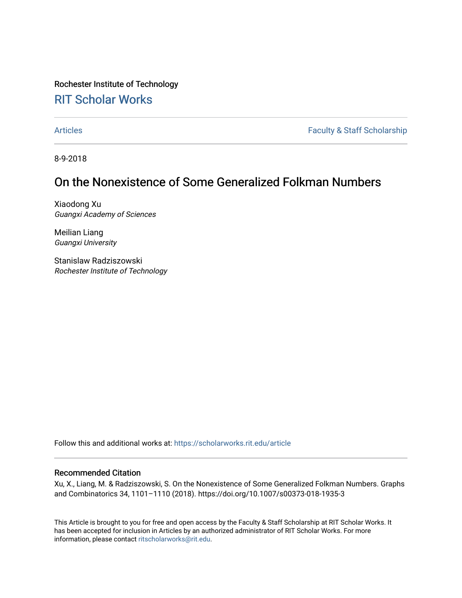Rochester Institute of Technology [RIT Scholar Works](https://scholarworks.rit.edu/)

[Articles](https://scholarworks.rit.edu/article) **Faculty & Staff Scholarship** 

8-9-2018

# On the Nonexistence of Some Generalized Folkman Numbers

Xiaodong Xu Guangxi Academy of Sciences

Meilian Liang Guangxi University

Stanislaw Radziszowski Rochester Institute of Technology

Follow this and additional works at: [https://scholarworks.rit.edu/article](https://scholarworks.rit.edu/article?utm_source=scholarworks.rit.edu%2Farticle%2F1911&utm_medium=PDF&utm_campaign=PDFCoverPages) 

### Recommended Citation

Xu, X., Liang, M. & Radziszowski, S. On the Nonexistence of Some Generalized Folkman Numbers. Graphs and Combinatorics 34, 1101–1110 (2018). https://doi.org/10.1007/s00373-018-1935-3

This Article is brought to you for free and open access by the Faculty & Staff Scholarship at RIT Scholar Works. It has been accepted for inclusion in Articles by an authorized administrator of RIT Scholar Works. For more information, please contact [ritscholarworks@rit.edu.](mailto:ritscholarworks@rit.edu)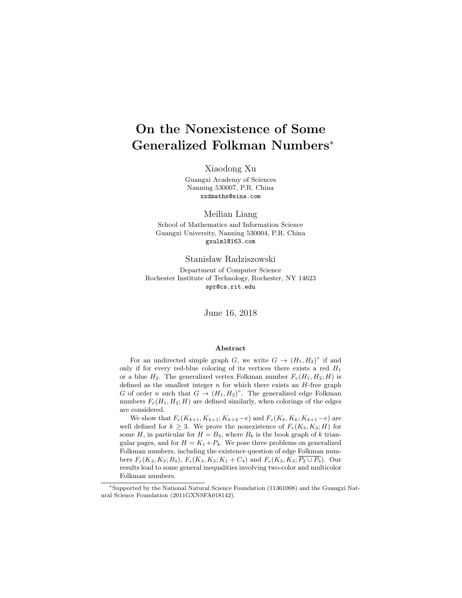# On the Nonexistence of Some Generalized Folkman Numbers<sup>∗</sup>

Xiaodong Xu

Guangxi Academy of Sciences Nanning 530007, P.R. China xxdmaths@sina.com

Meilian Liang

School of Mathematics and Information Science Guangxi University, Nanning 530004, P.R. China gxulml@163.com

Stanisław Radziszowski

Department of Computer Science Rochester Institute of Technology, Rochester, NY 14623 spr@cs.rit.edu

June 16, 2018

#### Abstract

For an undirected simple graph G, we write  $G \to (H_1, H_2)^v$  if and only if for every red-blue coloring of its vertices there exists a red  $H_1$ or a blue  $H_2$ . The generalized vertex Folkman number  $F_v(H_1, H_2; H)$  is defined as the smallest integer  $n$  for which there exists an  $H$ -free graph G of order n such that  $G \to (H_1, H_2)^v$ . The generalized edge Folkman numbers  $F_e(H_1, H_2; H)$  are defined similarly, when colorings of the edges are considered.

We show that  $F_e(K_{k+1}, K_{k+1}; K_{k+2}-e)$  and  $F_v(K_k, K_k; K_{k+1}-e)$  are well defined for  $k \geq 3$ . We prove the nonexistence of  $F_e(K_3, K_3; H)$  for some H, in particular for  $H = B_3$ , where  $B_k$  is the book graph of k triangular pages, and for  $H = K_1 + P_4$ . We pose three problems on generalized Folkman numbers, including the existence question of edge Folkman numbers  $F_e(K_3, K_3; B_4)$ ,  $F_e(K_3, K_3; K_1 + C_4)$  and  $F_e(K_3, K_3; \overline{P_2 \cup P_3})$ . Our results lead to some general inequalities involving two-color and multicolor Folkman numbers.

<sup>∗</sup>Supported by the National Natural Science Foundation (11361008) and the Guangxi Natural Science Foundation (2011GXNSFA018142).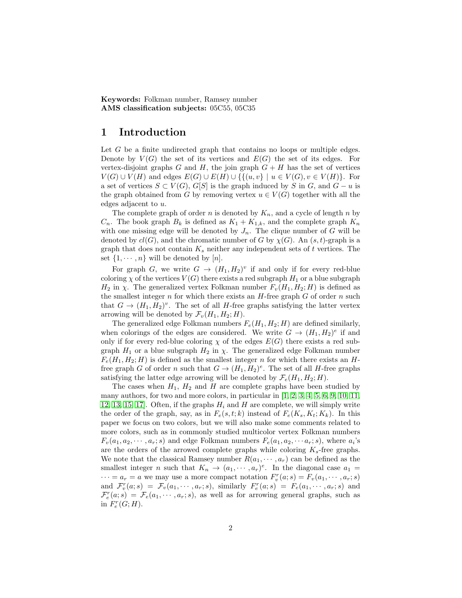Keywords: Folkman number, Ramsey number AMS classification subjects: 05C55, 05C35

## 1 Introduction

Let G be a finite undirected graph that contains no loops or multiple edges. Denote by  $V(G)$  the set of its vertices and  $E(G)$  the set of its edges. For vertex-disjoint graphs  $G$  and  $H$ , the join graph  $G + H$  has the set of vertices  $V(G) \cup V(H)$  and edges  $E(G) \cup E(H) \cup \{ \{ (u,v) \mid u \in V(G), v \in V(H) \}$ . For a set of vertices  $S \subset V(G)$ ,  $G[S]$  is the graph induced by S in G, and  $G - u$  is the graph obtained from G by removing vertex  $u \in V(G)$  together with all the edges adjacent to u.

The complete graph of order n is denoted by  $K_n$ , and a cycle of length n by  $C_n$ . The book graph  $B_k$  is defined as  $K_1 + K_{1,k}$ , and the complete graph  $K_n$ with one missing edge will be denoted by  $J_n$ . The clique number of G will be denoted by  $cl(G)$ , and the chromatic number of G by  $\chi(G)$ . An  $(s, t)$ -graph is a graph that does not contain  $K_s$  neither any independent sets of t vertices. The set  $\{1, \dots, n\}$  will be denoted by  $[n]$ .

For graph G, we write  $G \to (H_1, H_2)^v$  if and only if for every red-blue coloring  $\chi$  of the vertices  $V(G)$  there exists a red subgraph  $H_1$  or a blue subgraph  $H_2$  in  $\chi$ . The generalized vertex Folkman number  $F_v(H_1, H_2; H)$  is defined as the smallest integer n for which there exists an  $H$ -free graph G of order n such that  $G \to (H_1, H_2)^v$ . The set of all H-free graphs satisfying the latter vertex arrowing will be denoted by  $\mathcal{F}_v(H_1, H_2; H)$ .

The generalized edge Folkman numbers  $F_e(H_1, H_2; H)$  are defined similarly, when colorings of the edges are considered. We write  $G \to (H_1, H_2)^e$  if and only if for every red-blue coloring  $\chi$  of the edges  $E(G)$  there exists a red subgraph  $H_1$  or a blue subgraph  $H_2$  in  $\chi$ . The generalized edge Folkman number  $F_e(H_1, H_2; H)$  is defined as the smallest integer n for which there exists an Hfree graph G of order n such that  $G \to (H_1, H_2)^e$ . The set of all H-free graphs satisfying the latter edge arrowing will be denoted by  $\mathcal{F}_e(H_1, H_2; H)$ .

The cases when  $H_1$ ,  $H_2$  and H are complete graphs have been studied by many authors, for two and more colors, in particular in  $[1, 2, 3, 4, 5, 6, 9, 10, 11,$  $[1, 2, 3, 4, 5, 6, 9, 10, 11,$  $[1, 2, 3, 4, 5, 6, 9, 10, 11,$  $[1, 2, 3, 4, 5, 6, 9, 10, 11,$  $[1, 2, 3, 4, 5, 6, 9, 10, 11,$  $[1, 2, 3, 4, 5, 6, 9, 10, 11,$  $[1, 2, 3, 4, 5, 6, 9, 10, 11,$  $[1, 2, 3, 4, 5, 6, 9, 10, 11,$  $[1, 2, 3, 4, 5, 6, 9, 10, 11,$ [12,](#page-11-0) [13,](#page-11-1) [15,](#page-11-2) 17. Often, if the graphs  $H_i$  and H are complete, we will simply write the order of the graph, say, as in  $F_e(s,t;k)$  instead of  $F_e(K_s, K_t; K_k)$ . In this paper we focus on two colors, but we will also make some comments related to more colors, such as in commonly studied multicolor vertex Folkman numbers  $F_v(a_1, a_2, \dots, a_r; s)$  and edge Folkman numbers  $F_e(a_1, a_2, \dots, a_r; s)$ , where  $a_i$ 's are the orders of the arrowed complete graphs while coloring  $K_s$ -free graphs. We note that the classical Ramsey number  $R(a_1, \dots, a_r)$  can be defined as the smallest integer *n* such that  $K_n \to (a_1, \dots, a_r)^e$ . In the diagonal case  $a_1 =$  $\cdots = a_r = a$  we may use a more compact notation  $F_v^r(a; s) = F_v(a_1, \dots, a_r; s)$ and  $\mathcal{F}_{v}^{r}(a; s) = \mathcal{F}_{v}(a_1, \cdots, a_r; s)$ , similarly  $F_{e}^{r}(a; s) = F_{e}(a_1, \cdots, a_r; s)$  and  $\mathcal{F}_e^r(a; s) = \mathcal{F}_e(a_1, \dots, a_r; s)$ , as well as for arrowing general graphs, such as in  $F_e^r(G;H)$ .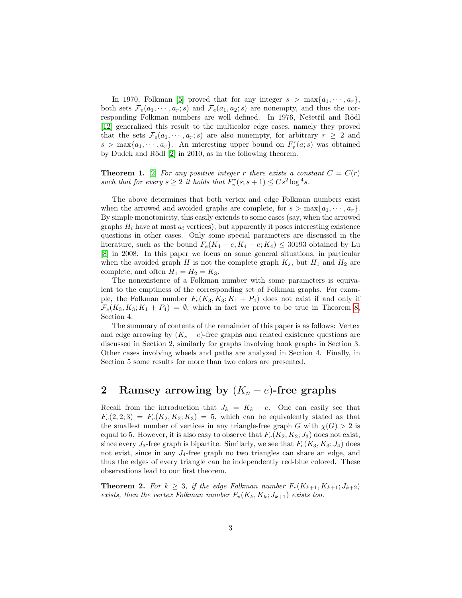In 1970, Folkman [\[5\]](#page-10-4) proved that for any integer  $s > \max\{a_1, \dots, a_r\}$ , both sets  $\mathcal{F}_v(a_1, \dots, a_r; s)$  and  $\mathcal{F}_e(a_1, a_2; s)$  are nonempty, and thus the corresponding Folkman numbers are well defined. In 1976, Nešetřil and Rödl [\[12\]](#page-11-0) generalized this result to the multicolor edge cases, namely they proved that the sets  $\mathcal{F}_e(a_1, \dots, a_r; s)$  are also nonempty, for arbitrary  $r \geq 2$  and  $s > \max\{a_1, \dots, a_r\}$ . An interesting upper bound on  $F_v^r(a; s)$  was obtained by Dudek and Rödl [\[2\]](#page-10-1) in 2010, as in the following theorem.

**Theorem 1.** [\[2\]](#page-10-1) For any positive integer r there exists a constant  $C = C(r)$ such that for every  $s \geq 2$  it holds that  $F_v^r(s; s + 1) \leq Cs^2 \log^4 s$ .

The above determines that both vertex and edge Folkman numbers exist when the arrowed and avoided graphs are complete, for  $s > \max\{a_1, \dots, a_r\}$ . By simple monotonicity, this easily extends to some cases (say, when the arrowed graphs  $H_i$  have at most  $a_i$  vertices), but apparently it poses interesting existence questions in other cases. Only some special parameters are discussed in the literature, such as the bound  $F_e(K_4 - e, K_4 - e; K_4) \leq 30193$  obtained by Lu [\[8\]](#page-10-9) in 2008. In this paper we focus on some general situations, in particular when the avoided graph H is not the complete graph  $K_s$ , but  $H_1$  and  $H_2$  are complete, and often  $H_1 = H_2 = K_3$ .

The nonexistence of a Folkman number with some parameters is equivalent to the emptiness of the corresponding set of Folkman graphs. For example, the Folkman number  $F_e(K_3, K_3; K_1 + P_4)$  does not exist if and only if  $\mathcal{F}_e(K_3, K_3; K_1 + P_4) = \emptyset$ , which in fact we prove to be true in Theorem [8,](#page-7-0) Section 4.

The summary of contents of the remainder of this paper is as follows: Vertex and edge arrowing by  $(K_s - e)$ -free graphs and related existence questions are discussed in Section 2, similarly for graphs involving book graphs in Section 3. Other cases involving wheels and paths are analyzed in Section 4. Finally, in Section 5 some results for more than two colors are presented.

# 2 Ramsey arrowing by  $(K_n - e)$ -free graphs

Recall from the introduction that  $J_k = K_k - e$ . One can easily see that  $F_v(2, 2; 3) = F_v(K_2, K_2; K_3) = 5$ , which can be equivalently stated as that the smallest number of vertices in any triangle-free graph G with  $\chi(G) > 2$  is equal to 5. However, it is also easy to observe that  $F_v(K_2, K_2; J_3)$  does not exist, since every  $J_3$ -free graph is bipartite. Similarly, we see that  $F_e(K_3, K_3; J_4)$  does not exist, since in any  $J_4$ -free graph no two triangles can share an edge, and thus the edges of every triangle can be independently red-blue colored. These observations lead to our first theorem.

<span id="page-3-0"></span>**Theorem 2.** For  $k \geq 3$ , if the edge Folkman number  $F_e(K_{k+1}, K_{k+1}; J_{k+2})$ exists, then the vertex Folkman number  $F_v(K_k, K_k; J_{k+1})$  exists too.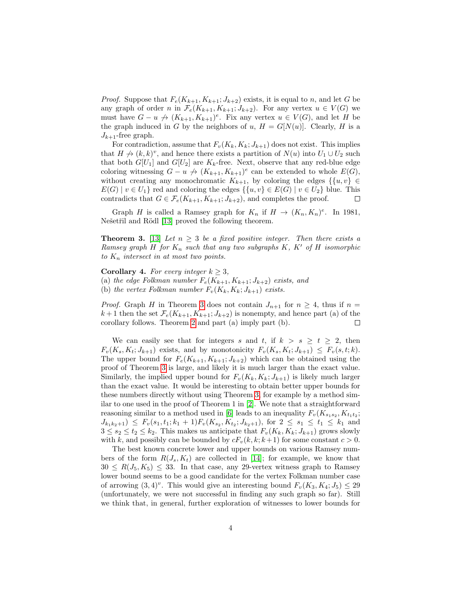*Proof.* Suppose that  $F_e(K_{k+1}, K_{k+1}; J_{k+2})$  exists, it is equal to n, and let G be any graph of order n in  $\mathcal{F}_e(K_{k+1}, K_{k+1}; J_{k+2})$ . For any vertex  $u \in V(G)$  we must have  $G - u \nightharpoonup (K_{k+1}, K_{k+1})^e$ . Fix any vertex  $u \in V(G)$ , and let H be the graph induced in G by the neighbors of u,  $H = G[N(u)]$ . Clearly, H is a  $J_{k+1}$ -free graph.

For contradiction, assume that  $F_v(K_k, K_k; J_{k+1})$  does not exist. This implies that  $H \nightharpoonup (k, k)^v$ , and hence there exists a partition of  $N(u)$  into  $U_1 \cup U_2$  such that both  $G[U_1]$  and  $G[U_2]$  are  $K_k$ -free. Next, observe that any red-blue edge coloring witnessing  $G - u \nightharpoonup (K_{k+1}, K_{k+1})^e$  can be extended to whole  $E(G)$ , without creating any monochromatic  $K_{k+1}$ , by coloring the edges  $\{u, v\} \in$  $E(G) | v \in U_1$  red and coloring the edges  $\{ \{u, v\} \in E(G) | v \in U_2 \}$  blue. This contradicts that  $G \in \mathcal{F}_e(K_{k+1}, K_{k+1}; J_{k+2})$ , and completes the proof.  $\Box$ 

Graph H is called a Ramsey graph for  $K_n$  if  $H \to (K_n, K_n)^e$ . In 1981, Nešetřil and Rödl [\[13\]](#page-11-1) proved the following theorem.

<span id="page-4-0"></span>**Theorem 3.** [\[13\]](#page-11-1) Let  $n \geq 3$  be a fixed positive integer. Then there exists a Ramsey graph H for  $K_n$  such that any two subgraphs K, K' of H isomorphic to  $K_n$  intersect in at most two points.

Corollary 4. For every integer  $k \geq 3$ , (a) the edge Folkman number  $F_e(K_{k+1}, K_{k+1}; J_{k+2})$  exists, and (b) the vertex Folkman number  $F_v(K_k, K_k; J_{k+1})$  exists.

*Proof.* Graph H in Theorem [3](#page-4-0) does not contain  $J_{n+1}$  for  $n \geq 4$ , thus if  $n =$  $k+1$  then the set  $\mathcal{F}_e(K_{k+1}, K_{k+1}; J_{k+2})$  is nonempty, and hence part (a) of the corollary follows. Theorem [2](#page-3-0) and part (a) imply part (b).  $\Box$ 

We can easily see that for integers s and t, if  $k > s \ge t \ge 2$ , then  $F_v(K_s, K_t; J_{k+1})$  exists, and by monotonicity  $F_v(K_s, K_t; J_{k+1}) \leq F_v(s, t; k)$ . The upper bound for  $F_e(K_{k+1}, K_{k+1}; J_{k+2})$  which can be obtained using the proof of Theorem [3](#page-4-0) is large, and likely it is much larger than the exact value. Similarly, the implied upper bound for  $F_v(K_k, K_k; J_{k+1})$  is likely much larger than the exact value. It would be interesting to obtain better upper bounds for these numbers directly without using Theorem [3,](#page-4-0) for example by a method similar to one used in the proof of Theorem 1 in [\[2\]](#page-10-1). We note that a straightforward reasoning similar to a method used in [\[6\]](#page-10-5) leads to an inequality  $F_v(K_{s_1s_2}, K_{t_1t_2};$  $J_{k_1k_2+1}$   $\leq F_v(s_1,t_1; k_1+1)F_v(K_{s_2}, K_{t_2}; J_{k_2+1})$ , for  $2 \leq s_1 \leq t_1 \leq k_1$  and  $3 \leq s_2 \leq t_2 \leq k_2$ . This makes us anticipate that  $F_v(K_k, K_k; J_{k+1})$  grows slowly with k, and possibly can be bounded by  $cF_v(k, k; k+1)$  for some constant  $c > 0$ .

The best known concrete lower and upper bounds on various Ramsey numbers of the form  $R(J_s, K_t)$  are collected in [\[14\]](#page-11-4); for example, we know that  $30 \le R(J_5, K_5) \le 33$ . In that case, any 29-vertex witness graph to Ramsey lower bound seems to be a good candidate for the vertex Folkman number case of arrowing  $(3,4)^v$ . This would give an interesting bound  $F_v(K_3, K_4; J_5) \leq 29$ (unfortunately, we were not successful in finding any such graph so far). Still we think that, in general, further exploration of witnesses to lower bounds for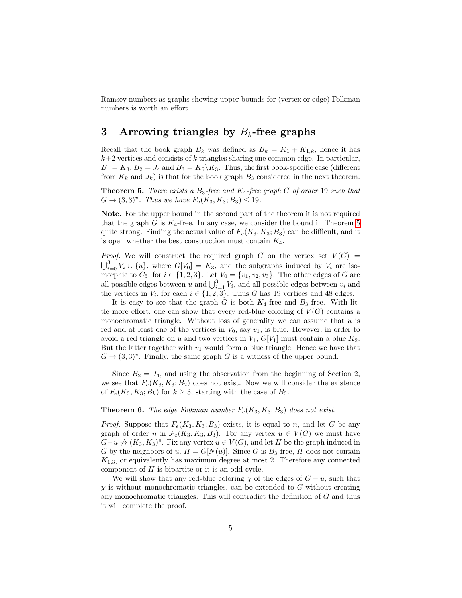Ramsey numbers as graphs showing upper bounds for (vertex or edge) Folkman numbers is worth an effort.

# 3 Arrowing triangles by  $B_k$ -free graphs

Recall that the book graph  $B_k$  was defined as  $B_k = K_1 + K_{1,k}$ , hence it has  $k+2$  vertices and consists of k triangles sharing one common edge. In particular,  $B_1 = K_3, B_2 = J_4$  and  $B_3 = K_5 \backslash K_3$ . Thus, the first book-specific case (different from  $K_k$  and  $J_k$ ) is that for the book graph  $B_3$  considered in the next theorem.

<span id="page-5-0"></span>**Theorem 5.** There exists a  $B_3$ -free and  $K_4$ -free graph G of order 19 such that  $G \to (3,3)^v$ . Thus we have  $F_v(K_3, K_3; B_3) \le 19$ .

Note. For the upper bound in the second part of the theorem it is not required that the graph  $G$  is  $K_4$ -free. In any case, we consider the bound in Theorem [5](#page-5-0) quite strong. Finding the actual value of  $F_v(K_3, K_3; B_3)$  can be difficult, and it is open whether the best construction must contain  $K_4$ .

*Proof.* We will construct the required graph G on the vertex set  $V(G)$  =  $\bigcup_{i=0}^{3} V_i \cup \{u\}$ , where  $G[V_0] = K_3$ , and the subgraphs induced by  $V_i$  are isomorphic to  $C_5$ , for  $i \in \{1, 2, 3\}$ . Let  $V_0 = \{v_1, v_2, v_3\}$ . The other edges of G are all possible edges between u and  $\bigcup_{i=1}^{3} V_i$ , and all possible edges between  $v_i$  and the vertices in  $V_i$ , for each  $i \in \{1, 2, 3\}$ . Thus G has 19 vertices and 48 edges.

It is easy to see that the graph G is both  $K_4$ -free and  $B_3$ -free. With little more effort, one can show that every red-blue coloring of  $V(G)$  contains a monochromatic triangle. Without loss of generality we can assume that  $u$  is red and at least one of the vertices in  $V_0$ , say  $v_1$ , is blue. However, in order to avoid a red triangle on u and two vertices in  $V_1$ ,  $G[V_1]$  must contain a blue  $K_2$ . But the latter together with  $v_1$  would form a blue triangle. Hence we have that  $G \to (3,3)^v$ . Finally, the same graph G is a witness of the upper bound.  $\Box$ 

Since  $B_2 = J_4$ , and using the observation from the beginning of Section 2, we see that  $F_e(K_3, K_3; B_2)$  does not exist. Now we will consider the existence of  $F_e(K_3, K_3; B_k)$  for  $k \geq 3$ , starting with the case of  $B_3$ .

#### <span id="page-5-1"></span>**Theorem 6.** The edge Folkman number  $F_e(K_3, K_3; B_3)$  does not exist.

*Proof.* Suppose that  $F_e(K_3, K_3; B_3)$  exists, it is equal to n, and let G be any graph of order n in  $\mathcal{F}_e(K_3, K_3; B_3)$ . For any vertex  $u \in V(G)$  we must have  $G-u \nightharpoonup (K_3, K_3)^e$ . Fix any vertex  $u \in V(G)$ , and let H be the graph induced in G by the neighbors of u,  $H = G[N(u)]$ . Since G is  $B_3$ -free, H does not contain  $K_{1,3}$ , or equivalently has maximum degree at most 2. Therefore any connected component of  $H$  is bipartite or it is an odd cycle.

We will show that any red-blue coloring  $\chi$  of the edges of  $G - u$ , such that  $\chi$  is without monochromatic triangles, can be extended to G without creating any monochromatic triangles. This will contradict the definition of  $G$  and thus it will complete the proof.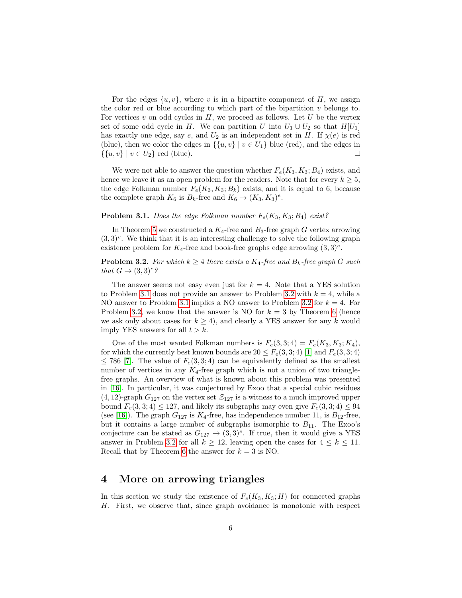For the edges  $\{u, v\}$ , where v is in a bipartite component of H, we assign the color red or blue according to which part of the bipartition  $v$  belongs to. For vertices  $v$  on odd cycles in  $H$ , we proceed as follows. Let  $U$  be the vertex set of some odd cycle in H. We can partition U into  $U_1 \cup U_2$  so that  $H[U_1]$ has exactly one edge, say e, and  $U_2$  is an independent set in H. If  $\chi(e)$  is red (blue), then we color the edges in  $\{ \{u, v\} \mid v \in U_1 \}$  blue (red), and the edges in  $\{\{u, v\} \mid v \in U_2\} \text{ red (blue)}.$ 

We were not able to answer the question whether  $F_e(K_3, K_3; B_4)$  exists, and hence we leave it as an open problem for the readers. Note that for every  $k \geq 5$ , the edge Folkman number  $F_e(K_3, K_3; B_k)$  exists, and it is equal to 6, because the complete graph  $K_6$  is  $B_k$ -free and  $K_6 \to (K_3, K_3)^e$ .

#### <span id="page-6-0"></span>**Problem 3.1.** Does the edge Folkman number  $F_e(K_3, K_3; B_4)$  exist?

In Theorem [5](#page-5-0) we constructed a  $K_4$ -free and  $B_3$ -free graph G vertex arrowing  $(3,3)^{v}$ . We think that it is an interesting challenge to solve the following graph existence problem for  $K_4$ -free and book-free graphs edge arrowing  $(3,3)^e$ .

#### <span id="page-6-1"></span>**Problem 3.2.** For which  $k \geq 4$  there exists a  $K_4$ -free and  $B_k$ -free graph G such that  $G \rightarrow (3,3)^e$ ?

The answer seems not easy even just for  $k = 4$ . Note that a YES solution to Problem [3.1](#page-6-0) does not provide an answer to Problem [3.2](#page-6-1) with  $k = 4$ , while a NO answer to Problem [3.1](#page-6-0) implies a NO answer to Problem [3.2](#page-6-1) for  $k = 4$ . For Problem [3.2,](#page-6-1) we know that the answer is NO for  $k = 3$  by Theorem [6](#page-5-1) (hence we ask only about cases for  $k \geq 4$ , and clearly a YES answer for any k would imply YES answers for all  $t > k$ .

One of the most wanted Folkman numbers is  $F_e(3, 3; 4) = F_e(K_3, K_3; K_4)$ , for which the currently best known bounds are  $20 \leq F_e(3, 3; 4)$  [\[1\]](#page-10-0) and  $F_e(3, 3; 4)$  $\leq$  786 [\[7\]](#page-10-10). The value of  $F_e(3,3;4)$  can be equivalently defined as the smallest number of vertices in any  $K_4$ -free graph which is not a union of two trianglefree graphs. An overview of what is known about this problem was presented in [\[16\]](#page-11-5). In particular, it was conjectured by Exoo that a special cubic residues  $(4, 12)$ -graph  $G_{127}$  on the vertex set  $\mathcal{Z}_{127}$  is a witness to a much improved upper bound  $F_e(3, 3; 4) \le 127$ , and likely its subgraphs may even give  $F_e(3, 3; 4) \le 94$ (see [\[16\]](#page-11-5)). The graph  $G_{127}$  is  $K_4$ -free, has independence number 11, is  $B_{12}$ -free, but it contains a large number of subgraphs isomorphic to  $B_{11}$ . The Exoo's conjecture can be stated as  $G_{127} \rightarrow (3,3)^e$ . If true, then it would give a YES answer in Problem [3.2](#page-6-1) for all  $k \geq 12$ , leaving open the cases for  $4 \leq k \leq 11$ . Recall that by Theorem [6](#page-5-1) the answer for  $k = 3$  is NO.

### 4 More on arrowing triangles

In this section we study the existence of  $F_e(K_3, K_3; H)$  for connected graphs H. First, we observe that, since graph avoidance is monotonic with respect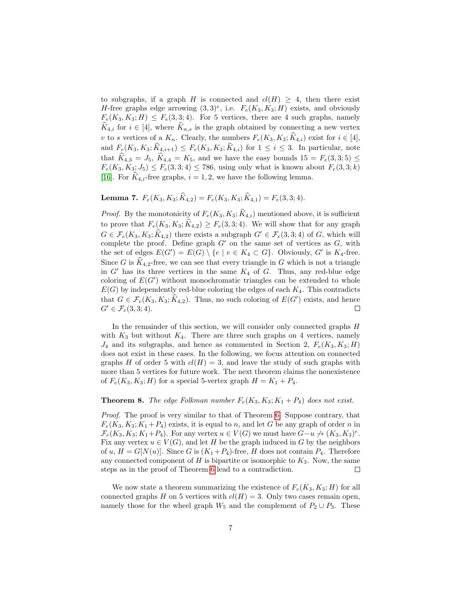to subgraphs, if a graph H is connected and  $cl(H) \geq 4$ , then there exist H-free graphs edge arrowing  $(3,3)^e$ , i.e.  $F_e(K_3, K_3; H)$  exists, and obviously  $F_e(K_3, K_3; H) \leq F_e(3, 3; 4)$ . For 5 vertices, there are 4 such graphs, namely  $\widehat{K}_{4,i}$  for  $i \in [4]$ , where  $\widehat{K}_{n,s}$  is the graph obtained by connecting a new vertex v to s vertices of a  $K_n$ . Clearly, the numbers  $F_e(K_3, K_3; \hat{K}_{4,i})$  exist for  $i \in [4]$ , and  $F_e(K_3, K_3; \widehat{K}_{4,i+1}) \leq F_e(K_3, K_3; \widehat{K}_{4,i})$  for  $1 \leq i \leq 3$ . In particular, note that  $\hat{K}_{4,3} = J_5, \hat{K}_{4,4} = K_5$ , and we have the easy bounds  $15 = F_e(3, 3; 5) \leq$  $F_e(K_3, K_3; J_5) \leq F_e(3, 3; 4) \leq 786$ , using only what is known about  $F_e(3, 3; k)$ [\[16\]](#page-11-5). For  $K_{4,i}$ -free graphs,  $i = 1, 2$ , we have the following lemma.

**Lemma 7.**  $F_e(K_3, K_3; \hat{K}_{4,2}) = F_e(K_3, K_3; \hat{K}_{4,1}) = F_e(3, 3; 4).$ 

*Proof.* By the monotonicity of  $F_e(K_3, K_3; \hat{K}_{4,i})$  mentioned above, it is sufficient to prove that  $F_e(K_3, K_3; \hat{K}_{4,2}) \geq F_e(3, 3; 4)$ . We will show that for any graph  $G \in \mathcal{F}_e(K_3, K_3; \widehat{K}_{4,2})$  there exists a subgraph  $G' \in \mathcal{F}_e(3, 3; 4)$  of G, which will complete the proof. Define graph  $G'$  on the same set of vertices as  $G$ , with the set of edges  $E(G') = E(G) \setminus \{e \mid e \in K_4 \subset G\}$ . Obviously, G' is  $K_4$ -free. Since G is  $\widehat{K}_{4,2}$ -free, we can see that every triangle in G which is not a triangle in  $G'$  has its three vertices in the same  $K_4$  of  $G$ . Thus, any red-blue edge coloring of  $E(G')$  without monochromatic triangles can be extended to whole  $E(G)$  by independently red-blue coloring the edges of each  $K_4$ . This contradicts that  $G \in \mathcal{F}_e(K_3, K_3; \widehat{K}_{4,2})$ . Thus, no such coloring of  $E(G')$  exists, and hence  $G' \in \mathcal{F}_e(3,3;4)$ .  $\Box$ 

In the remainder of this section, we will consider only connected graphs H with  $K_3$  but without  $K_4$ . There are three such graphs on 4 vertices, namely  $J_4$  and its subgraphs, and hence as commented in Section 2,  $F_e(K_3, K_3; H)$ does not exist in these cases. In the following, we focus attention on connected graphs H of order 5 with  $cl(H) = 3$ , and leave the study of such graphs with more than 5 vertices for future work. The next theorem claims the nonexistence of  $F_e(K_3, K_3; H)$  for a special 5-vertex graph  $H = K_1 + P_4$ .

#### <span id="page-7-0"></span>**Theorem 8.** The edge Folkman number  $F_e(K_3, K_3; K_1 + P_4)$  does not exist.

Proof. The proof is very similar to that of Theorem [6.](#page-5-1) Suppose contrary, that  $F_e(K_3, K_3; K_1 + P_4)$  exists, it is equal to n, and let G be any graph of order n in  $\mathcal{F}_e(K_3, K_3; K_1+P_4)$ . For any vertex  $u \in V(G)$  we must have  $G-u \not\rightarrow (K_3, K_3)^e$ . Fix any vertex  $u \in V(G)$ , and let H be the graph induced in G by the neighbors of u,  $H = G[N(u)]$ . Since G is  $(K_1 + P_4)$ -free, H does not contain  $P_4$ . Therefore any connected component of  $H$  is bipartite or isomorphic to  $K_3$ . Now, the same steps as in the proof of Theorem [6](#page-5-1) lead to a contradiction.  $\Box$ 

We now state a theorem summarizing the existence of  $F_e(K_3, K_3; H)$  for all connected graphs H on 5 vertices with  $cl(H) = 3$ . Only two cases remain open, namely those for the wheel graph  $W_5$  and the complement of  $P_2 \cup P_3$ . These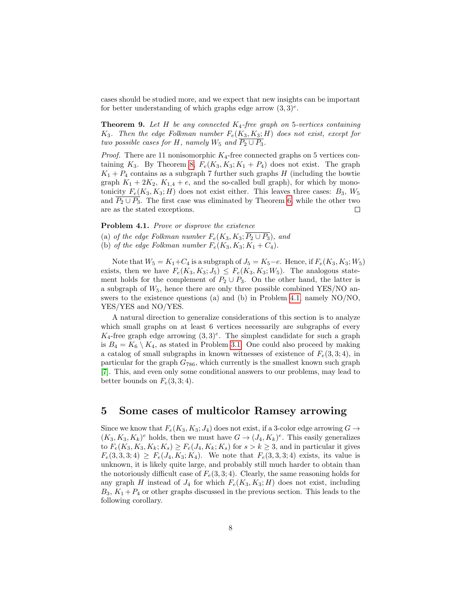cases should be studied more, and we expect that new insights can be important for better understanding of which graphs edge arrow  $(3,3)^e$ .

**Theorem 9.** Let H be any connected  $K_4$ -free graph on 5-vertices containing  $K_3$ . Then the edge Folkman number  $F_e(K_3, K_3; H)$  does not exist, except for two possible cases for H, namely  $W_5$  and  $\overline{P_2 \cup P_3}$ .

*Proof.* There are 11 nonisomorphic  $K_4$ -free connected graphs on 5 vertices containing  $K_3$ . By Theorem [8,](#page-7-0)  $F_e(K_3, K_3; K_1 + P_4)$  does not exist. The graph  $K_1 + P_4$  contains as a subgraph 7 further such graphs H (including the bowtie graph  $K_1 + 2K_2$ ,  $K_{1,4} + e$ , and the so-called bull graph), for which by monotonicity  $F_e(K_3, K_3; H)$  does not exist either. This leaves three cases:  $B_3$ ,  $W_5$ and  $\overline{P_2 \cup P_3}$ . The first case was eliminated by Theorem [6,](#page-5-1) while the other two are as the stated exceptions.  $\Box$ 

<span id="page-8-0"></span>Problem 4.1. Prove or disprove the existence

(a) of the edge Folkman number  $F_e(K_3, K_3; \overline{P_2 \cup P_3})$ , and

(b) of the edge Folkman number  $F_e(K_3, K_3; K_1 + C_4)$ .

Note that  $W_5 = K_1+C_4$  is a subgraph of  $J_5 = K_5-e$ . Hence, if  $F_e(K_3, K_3; W_5)$ exists, then we have  $F_e(K_3, K_3; J_5) \leq F_e(K_3, K_3; W_5)$ . The analogous statement holds for the complement of  $P_2 \cup P_3$ . On the other hand, the latter is a subgraph of  $W_5$ , hence there are only three possible combined YES/NO answers to the existence questions (a) and (b) in Problem [4.1,](#page-8-0) namely NO/NO, YES/YES and NO/YES.

A natural direction to generalize considerations of this section is to analyze which small graphs on at least 6 vertices necessarily are subgraphs of every  $K_4$ -free graph edge arrowing  $(3,3)^e$ . The simplest candidate for such a graph is  $B_4 = K_6 \setminus K_4$ , as stated in Problem [3.1.](#page-6-0) One could also proceed by making a catalog of small subgraphs in known witnesses of existence of  $F_e(3, 3; 4)$ , in particular for the graph  $G_{786}$ , which currently is the smallest known such graph [\[7\]](#page-10-10). This, and even only some conditional answers to our problems, may lead to better bounds on  $F_e(3, 3; 4)$ .

### 5 Some cases of multicolor Ramsey arrowing

Since we know that  $F_e(K_3, K_3; J_4)$  does not exist, if a 3-color edge arrowing  $G \rightarrow$  $(K_3, K_3, K_k)^e$  holds, then we must have  $G \to (J_4, K_k)^e$ . This easily generalizes to  $F_e(K_3, K_3, K_k; K_s) \geq F_e(J_4, K_k; K_s)$  for  $s > k \geq 3$ , and in particular it gives  $F_e(3,3,3;4) \geq F_e(J_4,K_3;K_4)$ . We note that  $F_e(3,3,3;4)$  exists, its value is unknown, it is likely quite large, and probably still much harder to obtain than the notoriously difficult case of  $F_e(3, 3; 4)$ . Clearly, the same reasoning holds for any graph H instead of  $J_4$  for which  $F_e(K_3, K_3; H)$  does not exist, including  $B_3, K_1 + P_4$  or other graphs discussed in the previous section. This leads to the following corollary.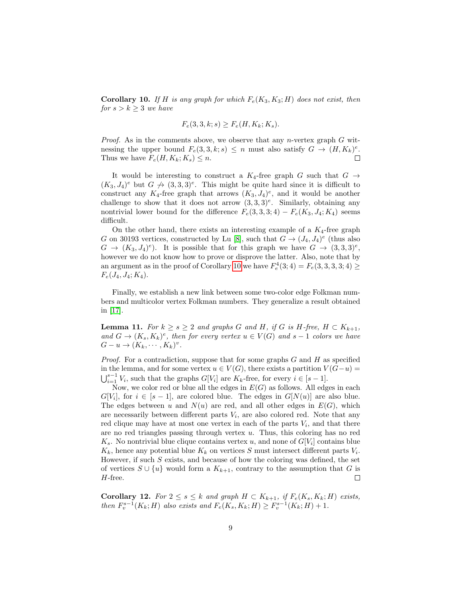<span id="page-9-0"></span>**Corollary 10.** If H is any graph for which  $F_e(K_3, K_3; H)$  does not exist, then  $for s > k \geq 3$  we have

$$
F_e(3,3,k;s) \ge F_e(H,K_k;K_s).
$$

*Proof.* As in the comments above, we observe that any *n*-vertex graph  $G$  witnessing the upper bound  $F_e(3,3,k;s) \leq n$  must also satisfy  $G \to (H, K_k)^e$ .  $\Box$ Thus we have  $F_e(H, K_k; K_s) \leq n$ .

It would be interesting to construct a  $K_4$ -free graph G such that  $G \rightarrow$  $(K_3, J_4)^e$  but  $G \nrightarrow (3, 3, 3)^e$ . This might be quite hard since it is difficult to construct any  $K_4$ -free graph that arrows  $(K_3, J_4)^e$ , and it would be another challenge to show that it does not arrow  $(3,3,3)^e$ . Similarly, obtaining any nontrivial lower bound for the difference  $F_e(3,3,3;4) - F_e(K_3, J_4; K_4)$  seems difficult.

On the other hand, there exists an interesting example of a  $K_4$ -free graph G on 30193 vertices, constructed by Lu [\[8\]](#page-10-9), such that  $G \to (J_4, J_4)^e$  (thus also  $G \to (K_3, J_4)^e$ . It is possible that for this graph we have  $G \to (3, 3, 3)^e$ , however we do not know how to prove or disprove the latter. Also, note that by an argument as in the proof of Corollary [10](#page-9-0) we have  $F_e^4(3; 4) = F_e(3, 3, 3, 3; 4) \geq$  $F_e(J_4, J_4; K_4).$ 

Finally, we establish a new link between some two-color edge Folkman numbers and multicolor vertex Folkman numbers. They generalize a result obtained in [\[17\]](#page-11-3).

**Lemma 11.** For  $k \geq s \geq 2$  and graphs G and H, if G is H-free,  $H \subset K_{k+1}$ , and  $G \to (K_s, K_k)^e$ , then for every vertex  $u \in V(G)$  and  $s-1$  colors we have  $G-u\to (K_k,\cdots,K_k)^v.$ 

*Proof.* For a contradiction, suppose that for some graphs  $G$  and  $H$  as specified in the lemma, and for some vertex  $u \in V(G)$ , there exists a partition  $V(G-u)$  $\bigcup_{i=1}^{s-1} V_i$ , such that the graphs  $G[V_i]$  are  $K_k$ -free, for every  $i \in [s-1]$ .

Now, we color red or blue all the edges in  $E(G)$  as follows. All edges in each  $G[V_i]$ , for  $i \in [s-1]$ , are colored blue. The edges in  $G[N(u)]$  are also blue. The edges between u and  $N(u)$  are red, and all other edges in  $E(G)$ , which are necessarily between different parts  $V_i$ , are also colored red. Note that any red clique may have at most one vertex in each of the parts  $V_i$ , and that there are no red triangles passing through vertex  $u$ . Thus, this coloring has no red  $K_s$ . No nontrivial blue clique contains vertex u, and none of  $G[V_i]$  contains blue  $K_k$ , hence any potential blue  $K_k$  on vertices S must intersect different parts  $V_i$ . However, if such  $S$  exists, and because of how the coloring was defined, the set of vertices  $S \cup \{u\}$  would form a  $K_{k+1}$ , contrary to the assumption that G is H-free.  $\Box$ 

<span id="page-9-1"></span>Corollary 12. For  $2 \le s \le k$  and graph  $H \subset K_{k+1}$ , if  $F_e(K_s, K_k; H)$  exists, then  $F_v^{s-1}(K_k; H)$  also exists and  $F_e(K_s, K_k; H) \ge F_v^{s-1}(K_k; H) + 1$ .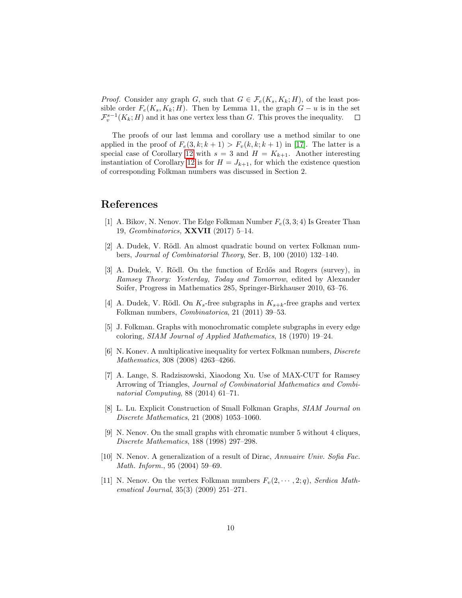*Proof.* Consider any graph G, such that  $G \in \mathcal{F}_e(K_s, K_k; H)$ , of the least possible order  $F_e(K_s, K_k; H)$ . Then by Lemma 11, the graph  $G - u$  is in the set  $\mathcal{F}_v^{s-1}(K_k; H)$  and it has one vertex less than G. This proves the inequality.  $\Box$ 

The proofs of our last lemma and corollary use a method similar to one applied in the proof of  $F_e(3, k; k+1) > F_v(k, k; k+1)$  in [\[17\]](#page-11-3). The latter is a special case of Corollary [12](#page-9-1) with  $s = 3$  and  $H = K_{k+1}$ . Another interesting instantiation of Corollary [12](#page-9-1) is for  $H = J_{k+1}$ , for which the existence question of corresponding Folkman numbers was discussed in Section 2.

# References

- <span id="page-10-0"></span>[1] A. Bikov, N. Nenov. The Edge Folkman Number  $F_e(3, 3; 4)$  Is Greater Than 19, Geombinatorics, XXVII (2017) 5–14.
- <span id="page-10-1"></span>[2] A. Dudek, V. Rödl. An almost quadratic bound on vertex Folkman numbers, Journal of Combinatorial Theory, Ser. B, 100 (2010) 132–140.
- <span id="page-10-2"></span>[3] A. Dudek, V. Rödl. On the function of Erdős and Rogers (survey), in Ramsey Theory: Yesterday, Today and Tomorrow, edited by Alexander Soifer, Progress in Mathematics 285, Springer-Birkhauser 2010, 63–76.
- <span id="page-10-3"></span>[4] A. Dudek, V. Rödl. On  $K_s$ -free subgraphs in  $K_{s+k}$ -free graphs and vertex Folkman numbers, Combinatorica, 21 (2011) 39–53.
- <span id="page-10-4"></span>[5] J. Folkman. Graphs with monochromatic complete subgraphs in every edge coloring, SIAM Journal of Applied Mathematics, 18 (1970) 19–24.
- <span id="page-10-5"></span>[6] N. Konev. A multiplicative inequality for vertex Folkman numbers, Discrete Mathematics, 308 (2008) 4263–4266.
- <span id="page-10-10"></span>[7] A. Lange, S. Radziszowski, Xiaodong Xu. Use of MAX-CUT for Ramsey Arrowing of Triangles, Journal of Combinatorial Mathematics and Combinatorial Computing, 88 (2014) 61–71.
- <span id="page-10-9"></span>[8] L. Lu. Explicit Construction of Small Folkman Graphs, SIAM Journal on Discrete Mathematics, 21 (2008) 1053–1060.
- <span id="page-10-6"></span>[9] N. Nenov. On the small graphs with chromatic number 5 without 4 cliques, Discrete Mathematics, 188 (1998) 297–298.
- <span id="page-10-7"></span>[10] N. Nenov. A generalization of a result of Dirac, Annuaire Univ. Sofia Fac. Math. Inform., 95 (2004) 59–69.
- <span id="page-10-8"></span>[11] N. Nenov. On the vertex Folkman numbers  $F_v(2, \dots, 2; q)$ , Serdica Mathematical Journal, 35(3) (2009) 251–271.